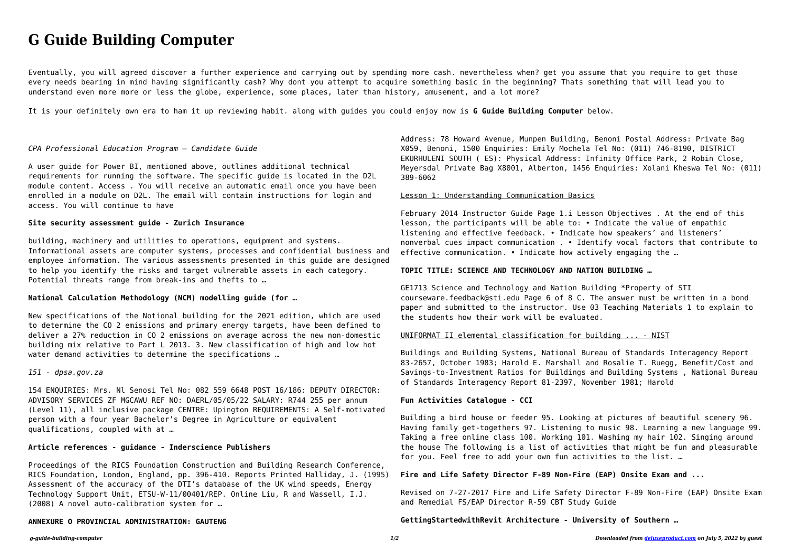*g-guide-building-computer 1/2 Downloaded from [deluxeproduct.com](http://deluxeproduct.com) on July 5, 2022 by guest*

# **G Guide Building Computer**

Eventually, you will agreed discover a further experience and carrying out by spending more cash. nevertheless when? get you assume that you require to get those every needs bearing in mind having significantly cash? Why dont you attempt to acquire something basic in the beginning? Thats something that will lead you to understand even more more or less the globe, experience, some places, later than history, amusement, and a lot more?

It is your definitely own era to ham it up reviewing habit. along with guides you could enjoy now is **G Guide Building Computer** below.

## *CPA Professional Education Program — Candidate Guide*

New specifications of the Notional building for the 2021 edition, which are used to determine the CO 2 emissions and primary energy targets, have been defined to deliver a 27% reduction in CO 2 emissions on average across the new non-domestic building mix relative to Part L 2013. 3. New classification of high and low hot water demand activities to determine the specifications ...

A user guide for Power BI, mentioned above, outlines additional technical requirements for running the software. The specific guide is located in the D2L module content. Access . You will receive an automatic email once you have been enrolled in a module on D2L. The email will contain instructions for login and access. You will continue to have

# **Site security assessment guide - Zurich Insurance**

building, machinery and utilities to operations, equipment and systems. Informational assets are computer systems, processes and confidential business and employee information. The various assessments presented in this guide are designed to help you identify the risks and target vulnerable assets in each category. Potential threats range from break-ins and thefts to …

## **National Calculation Methodology (NCM) modelling guide (for …**

## *151 - dpsa.gov.za*

154 ENQUIRIES: Mrs. Nl Senosi Tel No: 082 559 6648 POST 16/186: DEPUTY DIRECTOR: ADVISORY SERVICES ZF MGCAWU REF NO: DAERL/05/05/22 SALARY: R744 255 per annum (Level 11), all inclusive package CENTRE: Upington REQUIREMENTS: A Self-motivated person with a four year Bachelor's Degree in Agriculture or equivalent qualifications, coupled with at …

## **Article references - guidance - Inderscience Publishers**

Proceedings of the RICS Foundation Construction and Building Research Conference, RICS Foundation, London, England, pp. 396-410. Reports Printed Halliday, J. (1995) Assessment of the accuracy of the DTI's database of the UK wind speeds, Energy Technology Support Unit, ETSU-W-11/00401/REP. Online Liu, R and Wassell, I.J. (2008) A novel auto-calibration system for …

## **ANNEXURE O PROVINCIAL ADMINISTRATION: GAUTENG**

Address: 78 Howard Avenue, Munpen Building, Benoni Postal Address: Private Bag X059, Benoni, 1500 Enquiries: Emily Mochela Tel No: (011) 746-8190, DISTRICT EKURHULENI SOUTH ( ES): Physical Address: Infinity Office Park, 2 Robin Close, Meyersdal Private Bag X8001, Alberton, 1456 Enquiries: Xolani Kheswa Tel No: (011) 389-6062

#### Lesson 1: Understanding Communication Basics

February 2014 Instructor Guide Page 1.i Lesson Objectives . At the end of this lesson, the participants will be able to: • Indicate the value of empathic listening and effective feedback. • Indicate how speakers' and listeners' nonverbal cues impact communication . • Identify vocal factors that contribute to effective communication. • Indicate how actively engaging the …

# **TOPIC TITLE: SCIENCE AND TECHNOLOGY AND NATION BUILDING …**

GE1713 Science and Technology and Nation Building \*Property of STI courseware.feedback@sti.edu Page 6 of 8 C. The answer must be written in a bond paper and submitted to the instructor. Use 03 Teaching Materials 1 to explain to the students how their work will be evaluated.

## UNIFORMAT II elemental classification for building ... - NIST

Buildings and Building Systems, National Bureau of Standards Interagency Report 83-2657, October 1983; Harold E. Marshall and Rosalie T. Ruegg, Benefit/Cost and Savings-to-Investment Ratios for Buildings and Building Systems , National Bureau of Standards Interagency Report 81-2397, November 1981; Harold

## **Fun Activities Catalogue - CCI**

Building a bird house or feeder 95. Looking at pictures of beautiful scenery 96. Having family get-togethers 97. Listening to music 98. Learning a new language 99. Taking a free online class 100. Working 101. Washing my hair 102. Singing around the house The following is a list of activities that might be fun and pleasurable for you. Feel free to add your own fun activities to the list. …

## **Fire and Life Safety Director F-89 Non-Fire (EAP) Onsite Exam and ...**

Revised on 7‐27‐2017 Fire and Life Safety Director F-89 Non-Fire (EAP) Onsite Exam and Remedial FS/EAP Director R-59 CBT Study Guide

# **GettingStartedwithRevit Architecture - University of Southern …**